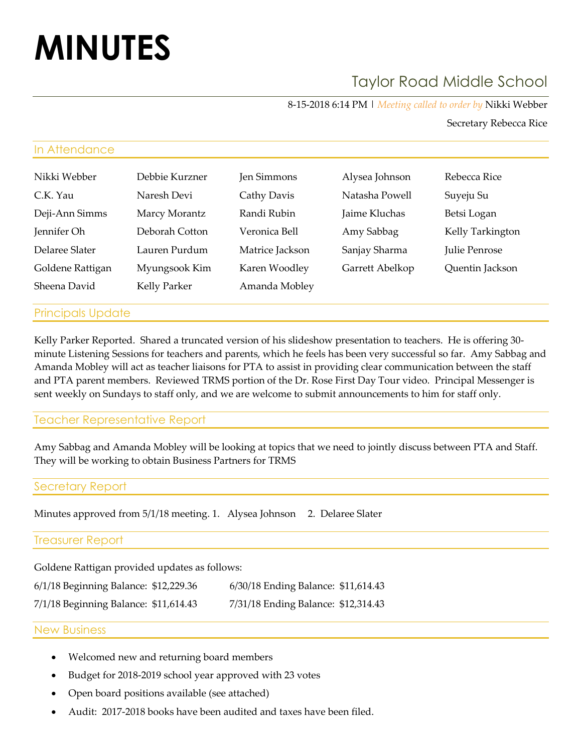# **MINUTES**

# Taylor Road Middle School

8-15-2018 6:14 PM | *Meeting called to order by* Nikki Webber

Secretary Rebecca Rice

# In Attendance

| Nikki Webber     | Debbie Kurzner | Jen Simmons     | Alysea Johnson  | Rebecca Rice     |
|------------------|----------------|-----------------|-----------------|------------------|
| C.K. Yau         | Naresh Devi    | Cathy Davis     | Natasha Powell  | Suyeju Su        |
| Deji-Ann Simms   | Marcy Morantz  | Randi Rubin     | Jaime Kluchas   | Betsi Logan      |
| Jennifer Oh      | Deborah Cotton | Veronica Bell   | Amy Sabbag      | Kelly Tarkington |
| Delaree Slater   | Lauren Purdum  | Matrice Jackson | Sanjay Sharma   | Julie Penrose    |
| Goldene Rattigan | Myungsook Kim  | Karen Woodley   | Garrett Abelkop | Quentin Jackson  |
| Sheena David     | Kelly Parker   | Amanda Mobley   |                 |                  |

# Principals Update

Kelly Parker Reported. Shared a truncated version of his slideshow presentation to teachers. He is offering 30 minute Listening Sessions for teachers and parents, which he feels has been very successful so far. Amy Sabbag and Amanda Mobley will act as teacher liaisons for PTA to assist in providing clear communication between the staff and PTA parent members. Reviewed TRMS portion of the Dr. Rose First Day Tour video. Principal Messenger is sent weekly on Sundays to staff only, and we are welcome to submit announcements to him for staff only.

# Teacher Representative Report

Amy Sabbag and Amanda Mobley will be looking at topics that we need to jointly discuss between PTA and Staff. They will be working to obtain Business Partners for TRMS

# Secretary Report

Minutes approved from 5/1/18 meeting. 1. Alysea Johnson 2. Delaree Slater

# Treasurer Report

Goldene Rattigan provided updates as follows:

| 6/1/18 Beginning Balance: \$12,229.36 | 6/30/18 Ending Balance: \$11,614.43 |  |
|---------------------------------------|-------------------------------------|--|
| 7/1/18 Beginning Balance: \$11,614.43 | 7/31/18 Ending Balance: \$12,314.43 |  |

#### New Business

- Welcomed new and returning board members
- Budget for 2018-2019 school year approved with 23 votes
- Open board positions available (see attached)
- Audit: 2017-2018 books have been audited and taxes have been filed.